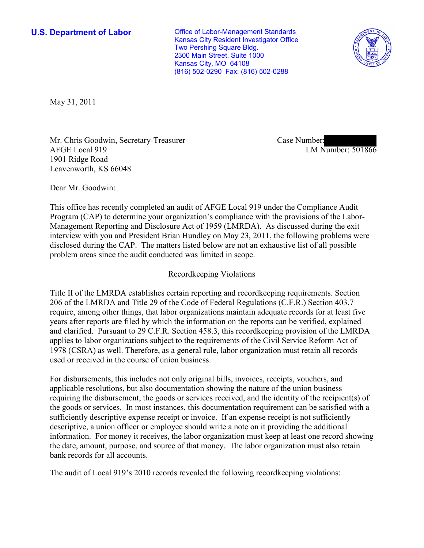**U.S. Department of Labor Conservative Conservative Conservative Conservative Conservative Conservative Conservative Conservative Conservative Conservative Conservative Conservative Conservative Conservative Conservative** Kansas City Resident Investigator Office Two Pershing Square Bldg. 2300 Main Street, Suite 1000 Kansas City, MO 64108 (816) 502-0290 Fax: (816) 502-0288



May 31, 2011

Mr. Chris Goodwin, Secretary-Treasurer AFGE Local 919 1901 Ridge Road Leavenworth, KS 66048

Case Number: LM Number: 501866

Dear Mr. Goodwin:

This office has recently completed an audit of AFGE Local 919 under the Compliance Audit Program (CAP) to determine your organization's compliance with the provisions of the Labor-Management Reporting and Disclosure Act of 1959 (LMRDA). As discussed during the exit interview with you and President Brian Hundley on May 23, 2011, the following problems were disclosed during the CAP. The matters listed below are not an exhaustive list of all possible problem areas since the audit conducted was limited in scope.

### Recordkeeping Violations

Title II of the LMRDA establishes certain reporting and recordkeeping requirements. Section 206 of the LMRDA and Title 29 of the Code of Federal Regulations (C.F.R.) Section 403.7 require, among other things, that labor organizations maintain adequate records for at least five years after reports are filed by which the information on the reports can be verified, explained and clarified. Pursuant to 29 C.F.R. Section 458.3, this recordkeeping provision of the LMRDA applies to labor organizations subject to the requirements of the Civil Service Reform Act of 1978 (CSRA) as well. Therefore, as a general rule, labor organization must retain all records used or received in the course of union business.

For disbursements, this includes not only original bills, invoices, receipts, vouchers, and applicable resolutions, but also documentation showing the nature of the union business requiring the disbursement, the goods or services received, and the identity of the recipient(s) of the goods or services. In most instances, this documentation requirement can be satisfied with a sufficiently descriptive expense receipt or invoice. If an expense receipt is not sufficiently descriptive, a union officer or employee should write a note on it providing the additional information. For money it receives, the labor organization must keep at least one record showing the date, amount, purpose, and source of that money. The labor organization must also retain bank records for all accounts.

The audit of Local 919's 2010 records revealed the following recordkeeping violations: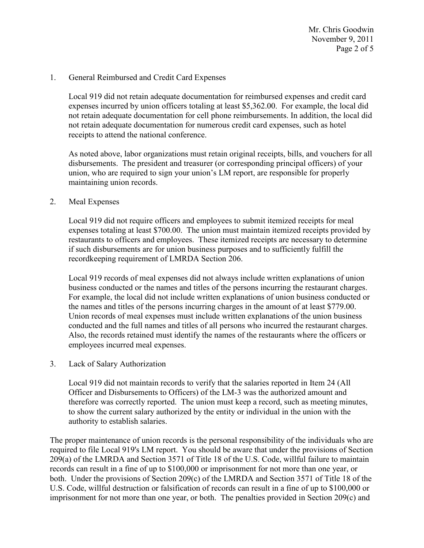Mr. Chris Goodwin November 9, 2011 Page 2 of 5

### 1. General Reimbursed and Credit Card Expenses

Local 919 did not retain adequate documentation for reimbursed expenses and credit card expenses incurred by union officers totaling at least \$5,362.00. For example, the local did not retain adequate documentation for cell phone reimbursements. In addition, the local did not retain adequate documentation for numerous credit card expenses, such as hotel receipts to attend the national conference.

As noted above, labor organizations must retain original receipts, bills, and vouchers for all disbursements. The president and treasurer (or corresponding principal officers) of your union, who are required to sign your union's LM report, are responsible for properly maintaining union records.

### 2. Meal Expenses

Local 919 did not require officers and employees to submit itemized receipts for meal expenses totaling at least \$700.00. The union must maintain itemized receipts provided by restaurants to officers and employees. These itemized receipts are necessary to determine if such disbursements are for union business purposes and to sufficiently fulfill the recordkeeping requirement of LMRDA Section 206.

Local 919 records of meal expenses did not always include written explanations of union business conducted or the names and titles of the persons incurring the restaurant charges. For example, the local did not include written explanations of union business conducted or the names and titles of the persons incurring charges in the amount of at least \$779.00. Union records of meal expenses must include written explanations of the union business conducted and the full names and titles of all persons who incurred the restaurant charges. Also, the records retained must identify the names of the restaurants where the officers or employees incurred meal expenses.

### 3. Lack of Salary Authorization

Local 919 did not maintain records to verify that the salaries reported in Item 24 (All Officer and Disbursements to Officers) of the LM-3 was the authorized amount and therefore was correctly reported. The union must keep a record, such as meeting minutes, to show the current salary authorized by the entity or individual in the union with the authority to establish salaries.

The proper maintenance of union records is the personal responsibility of the individuals who are required to file Local 919's LM report. You should be aware that under the provisions of Section 209(a) of the LMRDA and Section 3571 of Title 18 of the U.S. Code, willful failure to maintain records can result in a fine of up to \$100,000 or imprisonment for not more than one year, or both. Under the provisions of Section 209(c) of the LMRDA and Section 3571 of Title 18 of the U.S. Code, willful destruction or falsification of records can result in a fine of up to \$100,000 or imprisonment for not more than one year, or both. The penalties provided in Section 209(c) and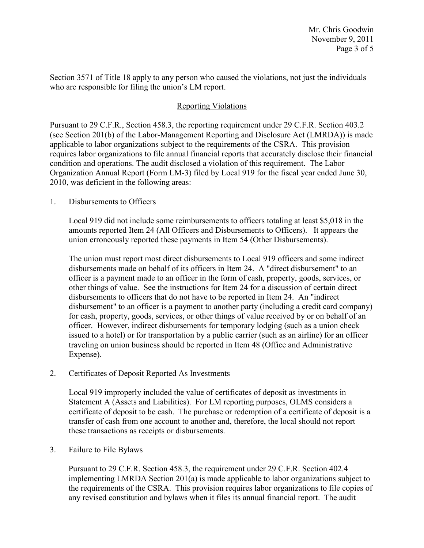Section 3571 of Title 18 apply to any person who caused the violations, not just the individuals who are responsible for filing the union's LM report.

## Reporting Violations

Pursuant to 29 C.F.R., Section 458.3, the reporting requirement under 29 C.F.R. Section 403.2 (see Section 201(b) of the Labor-Management Reporting and Disclosure Act (LMRDA)) is made applicable to labor organizations subject to the requirements of the CSRA. This provision requires labor organizations to file annual financial reports that accurately disclose their financial condition and operations. The audit disclosed a violation of this requirement. The Labor Organization Annual Report (Form LM-3) filed by Local 919 for the fiscal year ended June 30, 2010, was deficient in the following areas:

1. Disbursements to Officers

Local 919 did not include some reimbursements to officers totaling at least \$5,018 in the amounts reported Item 24 (All Officers and Disbursements to Officers). It appears the union erroneously reported these payments in Item 54 (Other Disbursements).

The union must report most direct disbursements to Local 919 officers and some indirect disbursements made on behalf of its officers in Item 24. A "direct disbursement" to an officer is a payment made to an officer in the form of cash, property, goods, services, or other things of value. See the instructions for Item 24 for a discussion of certain direct disbursements to officers that do not have to be reported in Item 24. An "indirect disbursement" to an officer is a payment to another party (including a credit card company) for cash, property, goods, services, or other things of value received by or on behalf of an officer. However, indirect disbursements for temporary lodging (such as a union check issued to a hotel) or for transportation by a public carrier (such as an airline) for an officer traveling on union business should be reported in Item 48 (Office and Administrative Expense).

2. Certificates of Deposit Reported As Investments

Local 919 improperly included the value of certificates of deposit as investments in Statement A (Assets and Liabilities). For LM reporting purposes, OLMS considers a certificate of deposit to be cash. The purchase or redemption of a certificate of deposit is a transfer of cash from one account to another and, therefore, the local should not report these transactions as receipts or disbursements.

3. Failure to File Bylaws

Pursuant to 29 C.F.R. Section 458.3, the requirement under 29 C.F.R. Section 402.4 implementing LMRDA Section 201(a) is made applicable to labor organizations subject to the requirements of the CSRA. This provision requires labor organizations to file copies of any revised constitution and bylaws when it files its annual financial report. The audit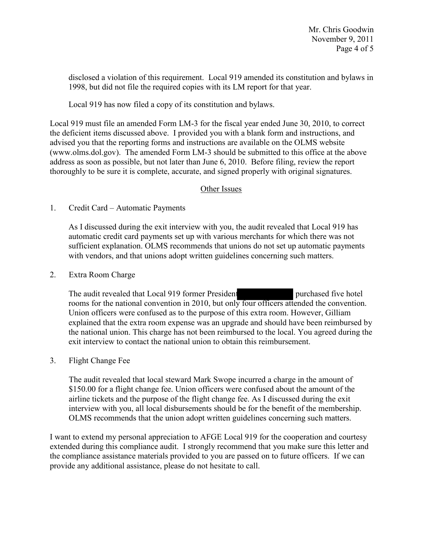disclosed a violation of this requirement. Local 919 amended its constitution and bylaws in 1998, but did not file the required copies with its LM report for that year.

Local 919 has now filed a copy of its constitution and bylaws.

Local 919 must file an amended Form LM-3 for the fiscal year ended June 30, 2010, to correct the deficient items discussed above. I provided you with a blank form and instructions, and advised you that the reporting forms and instructions are available on the OLMS website (www.olms.dol.gov). The amended Form LM-3 should be submitted to this office at the above address as soon as possible, but not later than June 6, 2010. Before filing, review the report thoroughly to be sure it is complete, accurate, and signed properly with original signatures.

# Other Issues

## 1. Credit Card – Automatic Payments

As I discussed during the exit interview with you, the audit revealed that Local 919 has automatic credit card payments set up with various merchants for which there was not sufficient explanation. OLMS recommends that unions do not set up automatic payments with vendors, and that unions adopt written guidelines concerning such matters.

## 2. Extra Room Charge

The audit revealed that Local 919 former President purchased five hotel rooms for the national convention in 2010, but only four officers attended the convention. Union officers were confused as to the purpose of this extra room. However, Gilliam explained that the extra room expense was an upgrade and should have been reimbursed by the national union. This charge has not been reimbursed to the local. You agreed during the exit interview to contact the national union to obtain this reimbursement.

## 3. Flight Change Fee

The audit revealed that local steward Mark Swope incurred a charge in the amount of \$150.00 for a flight change fee. Union officers were confused about the amount of the airline tickets and the purpose of the flight change fee. As I discussed during the exit interview with you, all local disbursements should be for the benefit of the membership. OLMS recommends that the union adopt written guidelines concerning such matters.

I want to extend my personal appreciation to AFGE Local 919 for the cooperation and courtesy extended during this compliance audit. I strongly recommend that you make sure this letter and the compliance assistance materials provided to you are passed on to future officers. If we can provide any additional assistance, please do not hesitate to call.